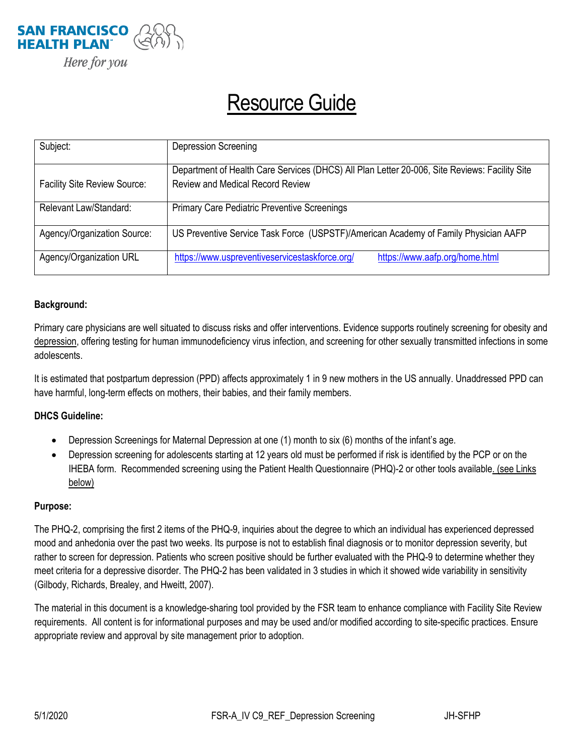

## Resource Guide

| Subject:                            | <b>Depression Screening</b>                                                                                                              |
|-------------------------------------|------------------------------------------------------------------------------------------------------------------------------------------|
| <b>Facility Site Review Source:</b> | Department of Health Care Services (DHCS) All Plan Letter 20-006, Site Reviews: Facility Site<br><b>Review and Medical Record Review</b> |
| Relevant Law/Standard:              | <b>Primary Care Pediatric Preventive Screenings</b>                                                                                      |
| Agency/Organization Source:         | US Preventive Service Task Force (USPSTF)/American Academy of Family Physician AAFP                                                      |
| Agency/Organization URL             | https://www.uspreventiveservicestaskforce.org/<br>https://www.aafp.org/home.html                                                         |

## **Background:**

Primary care physicians are well situated to discuss risks and offer interventions. Evidence supports routinely screening for obesity and depression, offering testing for human immunodeficiency virus infection, and screening for other sexually transmitted infections in some adolescents.

It is estimated that postpartum depression (PPD) affects approximately 1 in 9 new mothers in the US annually. Unaddressed PPD can have harmful, long-term effects on mothers, their babies, and their family members.

## **DHCS Guideline:**

- Depression Screenings for Maternal Depression at one (1) month to six (6) months of the infant's age.
- Depression screening for adolescents starting at 12 years old must be performed if risk is identified by the PCP or on the IHEBA form. Recommended screening using the Patient Health Questionnaire (PHQ)-2 or other tools availabl[e.](https://www.aap.org/en-us/professional-resources/quality-improvement/Project-RedDE/Pages/Depression.aspx) (see Links below)

## **Purpose:**

The PHQ-2, comprising the first 2 items of the PHQ-9, inquiries about the degree to which an individual has experienced depressed mood and anhedonia over the past two weeks. Its purpose is not to establish final diagnosis or to monitor depression severity, but rather to screen for depression. Patients who screen positive should be further evaluated with the PHQ-9 to determine whether they meet criteria for a depressive disorder. The PHQ-2 has been validated in 3 studies in which it showed wide variability in sensitivity (Gilbody, Richards, Brealey, and Hweitt, 2007).

The material in this document is a knowledge-sharing tool provided by the FSR team to enhance compliance with Facility Site Review requirements. All content is for informational purposes and may be used and/or modified according to site-specific practices. Ensure appropriate review and approval by site management prior to adoption.